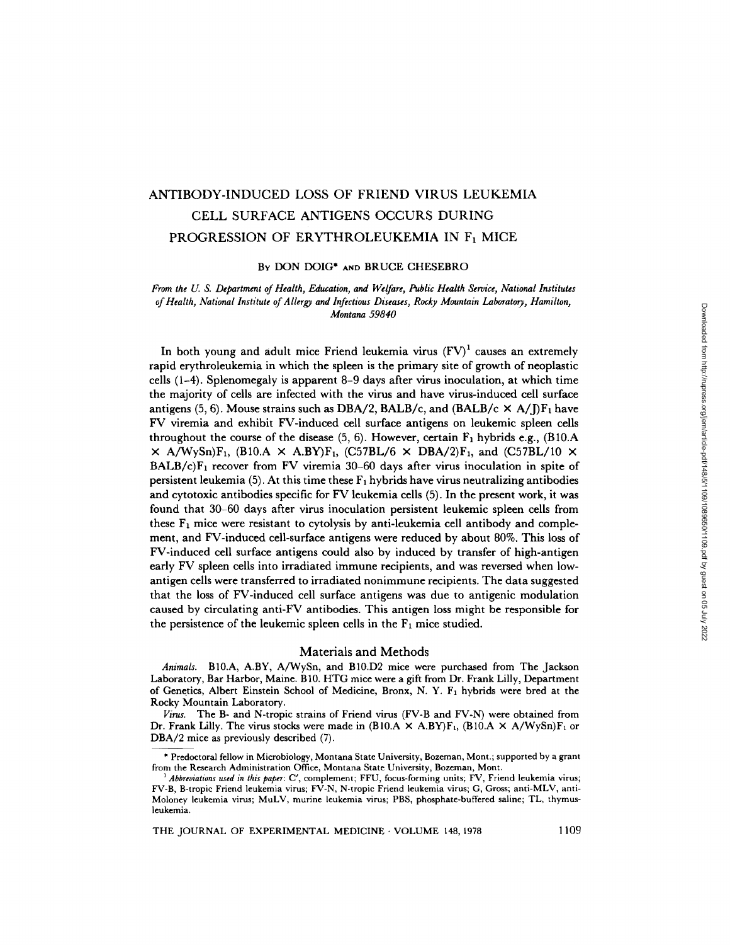# ANTIBODY-INDUCED LOSS OF FRIEND VIRUS LEUKEMIA CELL SURFACE ANTIGENS OCCURS DURING PROGRESSION OF ERYTHROLEUKEMIA IN F<sub>1</sub> MICE

BY DON DOIG\* AND BRUCE CHESEBRO

*From the U. S. Department of Health, Education, and Welfare, Public Health Service, National Institutes of Health, National Institute of Allergy and Infectious Diseases, Rocky Mountain Laboratory, Hamilton, Montana 59840* 

In both young and adult mice Friend leukemia virus  $(FV)^1$  causes an extremely rapid erythroleukemia in which the spleen is the primary site of growth of neoplastic cells (1-4). Splenomegaly is apparent 8-9 days after virus inoculation, at which time the majority of cells are infected with the virus and have virus-induced cell surface antigens (5, 6). Mouse strains such as DBA/2, BALB/c, and (BALB/c  $\times$  A/J)F<sub>1</sub> have FV viremia and exhibit FV-induced cell surface antigens on leukemic spleen cells throughout the course of the disease  $(5, 6)$ . However, certain  $F_1$  hybrids e.g.,  $(B10.A)$  $\times$  A/WySn)F<sub>1</sub>, (B10.A  $\times$  A.BY)F<sub>1</sub>, (C57BL/6  $\times$  DBA/2)F<sub>1</sub>, and (C57BL/10  $\times$ BALB/c) $F_1$  recover from FV viremia 30-60 days after virus inoculation in spite of persistent leukemia (5). At this time these  $F_1$  hybrids have virus neutralizing antibodies and cytotoxic antibodies specific for FV leukemia cells (5). In the present work, it was found that 30-60 days after virus inoculation persistent leukemic spleen cells from these  $F_1$  mice were resistant to cytolysis by anti-leukemia cell antibody and complement, and FV-induced cell-surface antigens were reduced by about 80%. This loss of FV-induced cell surface antigens could also by induced by transfer of high-antigen early FV spleen cells into irradiated immune recipients, and was reversed when lowantigen cells were transferred to irradiated nonimmune recipients. The data suggested that the loss of FV-induced cell surface antigens was due to antigenic modulation caused by circulating anti-FV antibodies. This antigen loss might be responsible for the persistence of the leukemic spleen cells in the  $F_1$  mice studied.

## Materials and Methods

*Animals.* B10.A, A.BY, A/WySn, and BIO.D2 mice were purchased from The Jackson Laboratory, Bar Harbor, Maine. B10. HTG mice were a gift from Dr. Frank Lilly, Department of Genetics, Albert Einstein School of Medicine, Bronx, N. Y. F<sub>1</sub> hybrids were bred at the Rocky Mountain Laboratory.

*Virus.* The B- and N-tropic strains of Friend virus (FV-B and FV-N) were obtained from Dr. Frank Lilly. The virus stocks were made in (B10.A  $\times$  A.BY)F<sub>1</sub>, (B10.A  $\times$  A/WySn)F<sub>1</sub> or DBA/2 mice as previously described (7).

THE JOURNAL OF EXPERIMENTAL MEDICINE · VOLUME 148, 1978 1109

<sup>\*</sup> Predoctoral fellow in Microbiology, Montana State University, Bozeman, Mont.; supported by a grant from the Research Administration Office, Montana State University, Bozeman, Mont.

*<sup>1</sup> Abbreviations used in this paper:* C', complement; FFU, focus-forming units; FV, Friend leukemia virus; FV-B, B-tropic Friend leukemia virus; FV-N, N-tropic Friend leukemia virus; G, Gross; anti-MLV, anti-Moloney leukemia virus; MuLV, murine leukemia virus; PBS, phosphate-buffered saline; TL, thymusleukemia.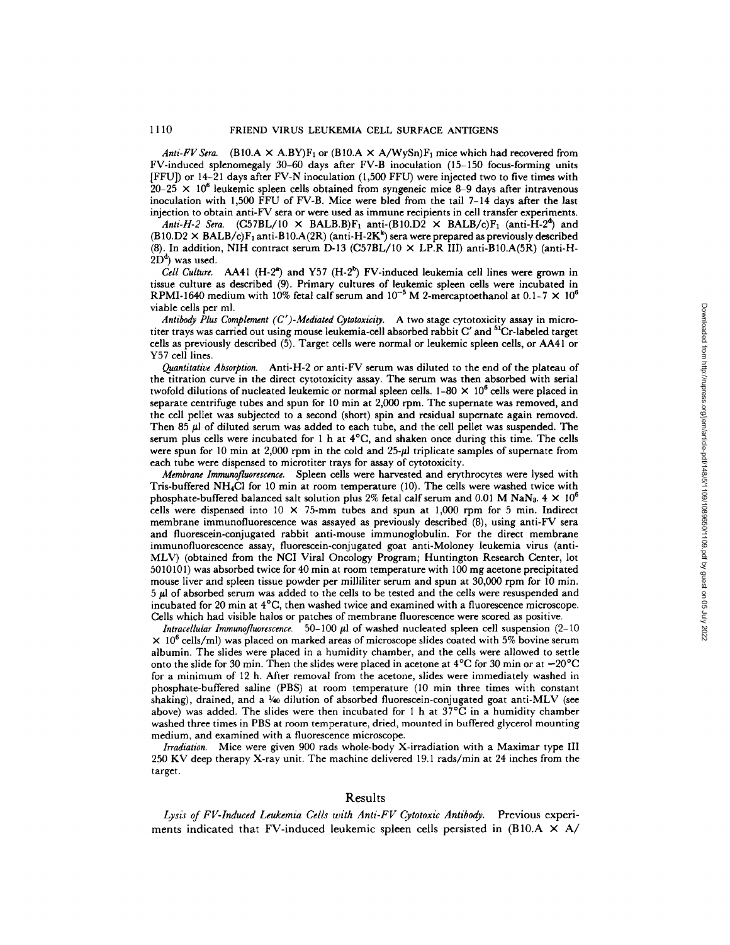*Anti-FV Sera.* (B10.A  $\times$  A.BY)F<sub>1</sub> or (B10.A  $\times$  A/WySn)F<sub>1</sub> mice which had recovered from FV-induced splenomegaly 30-60 days after FV-B inoculation (15-150 focus-forming units [FFU]) or 14-21 days after FV-N inoculation (1,500 FFU) were injected two to five times with  $20-25 \times 10^6$  leukemic spleen cells obtained from syngeneic mice 8-9 days after intravenous inoculation with 1,500 FFU of FV-B. Mice were bled from the tail 7-14 days after the last injection to obtain anti-FV sera or were used as immune recipients in cell transfer experiments.

*Anti-H-2 Sera.*  $(C57BL/10 \times BALB.B)F_1$  anti- $(B10.D2 \times BALB/c)F_1$  (anti-H-2<sup>4</sup>) and  $(B10.D2 \times BALB/c)F_1$  anti-B10.A(2R) (anti-H-2K<sup>k</sup>) sera were prepared as previously described (8). In addition, NIH contract serum D-13 (C57BL/10  $\times$  LP.R III) anti-B10.A(5R) (anti-H- $2D<sup>d</sup>$ ) was used.

*Cell Culture.* AA41 (H-2<sup>a</sup>) and Y57 (H-2<sup>b</sup>) FV-induced leukemia cell lines were grown in tissue culture as described (9). Primary cultures of leukemic spleen cells were incubated in RPMI-1640 medium with 10% fetal calf serum and  $10^{-5}$  M 2-mercaptoethanol at 0.1-7  $\times$  10<sup>6</sup> viable cells per ml.

*Antibody Plus Complement (C')-Mediated Cytotoxicity.* A two stage cytotoxicity assay in microtiter trays was carried out using mouse leukemia-cell absorbed rabbit C' and <sup>51</sup>Cr-labeled target cells as previously described (5). Target cells were normal or leukemic spleen cells, or AA41 or Y57 cell lines.

*Quantitative Absorption.* Anti-H-2 or anti-FV serum was diluted to the end of the plateau of the titration curve in the direct cytotoxicity assay. The serum was then absorbed with serial twofold dilutions of nucleated leukemic or normal spleen cells.  $1-80 \times 10^6$  cells were placed in separate centrifuge tubes and spun for 10 min at 2,000 rpm. The supernate was removed, and the cell pellet was subjected to a second (short) spin and residual supernate again removed. Then 85  $\mu$ l of diluted serum was added to each tube, and the cell pellet was suspended. The serum plus cells were incubated for 1 h at  $4^{\circ}$ C, and shaken once during this time. The cells were spun for 10 min at  $2,000$  rpm in the cold and  $25-\mu$  triplicate samples of supernate from each tube were dispensed to microtiter trays for assay of cytotoxicity.

*Membrane Immunofluorescence.* Spleen cells were harvested and erythrocytes were lysed with Tris-buffered NH<sub>4</sub>Cl for 10 min at room temperature (10). The cells were washed twice with phosphate-buffered balanced salt solution plus 2% fetal calf serum and 0.01 M NaN<sub>3</sub>. 4  $\times$  10<sup>6</sup> cells were dispensed into  $10 \times 75$ -mm tubes and spun at 1,000 rpm for 5 min. Indirect membrane immunofluorescence was assayed as previously described (8), using anti-FV sera and fluorescein-conjugated rabbit anti-mouse immunoglobulin. For the direct membrane immunofluorescence assay, fluorescein-conjugated goat anti-Moloney leukemia virus (anti-MLV) (obtained from the NCI Viral Ontology Program; Huntington Research Center, lot 5010101) was absorbed twice for 40 min at room temperature with 100 mg acetone precipitated mouse liver and spleen tissue powder per milliliter serum and spun at 30,000 rpm for 10 min. 5 #1 of absorbed serum was added to the cells to be tested and the cells were resuspended and incubated for 20 min at  $4^{\circ}$ C, then washed twice and examined with a fluorescence microscope. Cells which had visible halos or patches of membrane fluorescence were scored as positive.

*Intracellular Immunofluorescence.* 50-100  $\mu$ l of washed nucleated spleen cell suspension (2-10  $\times$  10<sup>6</sup> cells/ml) was placed on marked areas of microscope slides coated with 5% bovine serum albumin. The slides were placed in a humidity chamber, and the cells were allowed to settle onto the slide for 30 min. Then the slides were placed in acetone at  $4^{\circ}C$  for 30 min or at  $-20^{\circ}C$ for a minimum of 12 h. After removal from the acetone, slides were immediately washed in phosphate-buffered saline (PBS) at room temperature (10 min three times with constant shaking), drained, and a  $\frac{1}{40}$  dilution of absorbed fluorescein-conjugated goat anti-MLV (see above) was added. The slides were then incubated for 1 h at  $37^{\circ}$ C in a humidity chamber washed three times in PBS at room temperature, dried, mounted in buffered glycerol mounting medium, and examined with a fluorescence microscope.

*Irradiation.* Mice were given 900 rads whole-body X-irradiation with a Maximar type III 250 KV deep therapy X-ray unit. The machine delivered 19.1 rads/min at 24 inches from the target.

## Results

*Lysis of FV-Induced Leukemia Cells with Anti-FV Cytotoxic Antibody.* Previous experiments indicated that FV-induced leukemic spleen cells persisted in (B10.A  $\times$  A/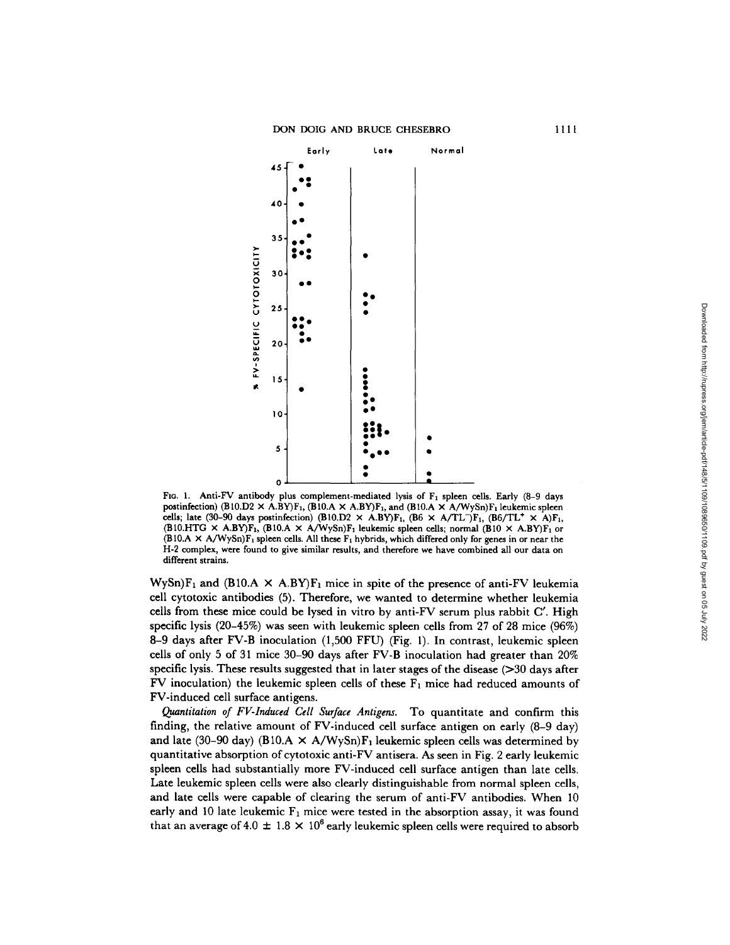

FIG. 1. Anti-FV antibody plus complement-mediated lysis of  $F_1$  spleen cells. Early (8-9 days postinfection)  $(B10.D2 \times A.BY)F_1$ ,  $(B10.A \times A.BY)F_1$ , and  $(B10.A \times A/WySn)F_1$  leukemic spleen cells; late (30-90 days postinfection)  $(B10.D2 \times A.BY)F_1$ ,  $(B6 \times A/TL^-)F_1$ ,  $(B6/TL^+ \times A)F_1$ , (B10.HTG  $\times$  A.BY)F<sub>1</sub>, (B10.A  $\times$  A/WySn)F<sub>1</sub> leukemic spleen cells; normal (B10  $\times$  A.BY)F<sub>1</sub> or  $(B10.A \times A/WySn)F_1$  spleen cells. All these  $F_1$  hybrids, which differed only for genes in or near the H-2 complex, were found to give similar results, and therefore we have combined all our data on different strains.

WySn) $F_1$  and (B10.A  $\times$  A.BY) $F_1$  mice in spite of the presence of anti-FV leukemia cell cytotoxic antibodies (5). Therefore, we wanted to determine whether leukemia cells from these mice could be lysed in vitro by anti-FV serum plus rabbit C'. High specific lysis (20-45%) was seen with leukemic spleen cells from 27 of 28 mice (96%) 8-9 days after FV-B inoculation (1,500 FFU) (Fig. 1). In contrast, leukemic spleen cells of only 5 of 31 mice 30-90 days after FV-B inoculation had greater than 20% specific lysis. These results suggested that in later stages of the disease (>30 days after FV inoculation) the leukemic spleen cells of these  $F_1$  mice had reduced amounts of FV-induced cell surface antigens.

*Quantitation of FV-Induced Cell Surface Antigens.* To quantitate and confirm this finding, the relative amount of FV-induced cell surface antigen on early (8-9 day) and late (30–90 day) (B10.A  $\times$  A/WySn)F<sub>1</sub> leukemic spleen cells was determined by quantitative absorption of cytotoxic anti-FV antisera. As seen in Fig. 2 early leukemic spleen cells had substantially more FV-induced cell surface antigen than late cells. Late leukemic spleen cells were also clearly distinguishable from normal spleen cells, and late cells were capable of clearing the serum of anti-FV antibodies. When 10 early and 10 late leukemic  $F_1$  mice were tested in the absorption assay, it was found that an average of 4.0  $\pm$  1.8  $\times$  10<sup>6</sup> early leukemic spleen cells were required to absorb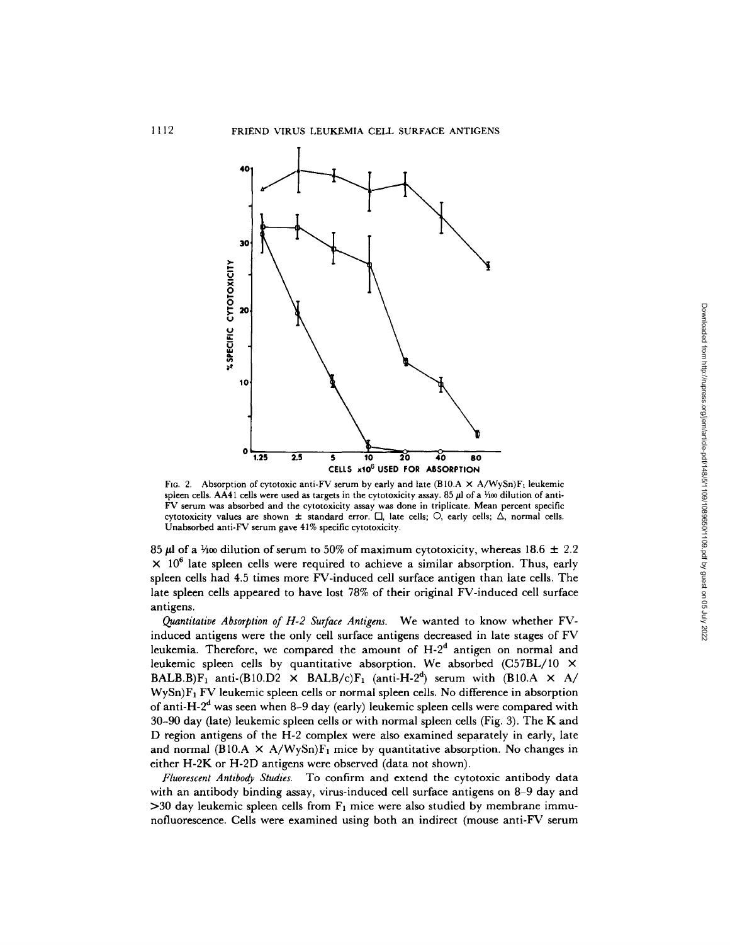

FIG. 2. Absorption of cytotoxic anti-FV serum by early and late (B10.A  $\times$  A/WySn)F<sub>1</sub> leukemic spleen cells. AA41 cells were used as targets in the cytotoxicity assay. 85  $\mu$ l of a Yoo dilution of anti-FV serum was absorbed and the cytotoxicity assay was done in triplicate. Mean percent specific cytotoxicity values are shown  $\pm$  standard error.  $\Box$ , late cells;  $\bigcirc$ , early cells;  $\Delta$ , normal cells. Unabsorbed anti-FV serum gave 41% specific cytotoxicity.

85  $\mu$ l of a 1/100 dilution of serum to 50% of maximum cytotoxicity, whereas 18.6  $\pm$  2.2  $\times$  10<sup>6</sup> late spleen cells were required to achieve a similar absorption. Thus, early spleen cells had 4.5 times more FV-induced cell surface antigen than late cells. The late spleen cells appeared to have lost 78% of their original FV-induced cell surface antigens.

*Quantitative Absorption of H-2 Surface Antigens.* We wanted to know whether FVinduced antigens were the only cell surface antigens decreased in late stages of FV leukemia. Therefore, we compared the amount of  $H-2<sup>d</sup>$  antigen on normal and leukemic spleen cells by quantitative absorption. We absorbed (C57BL/10 × BALB.B)F<sub>1</sub> anti-(B10.D2  $\times$  BALB/c)F<sub>1</sub> (anti-H-2<sup>d</sup>) serum with (B10.A  $\times$  A/  $W<sub>y</sub>Sn)F<sub>1</sub> FV$  leukemic spleen cells or normal spleen cells. No difference in absorption of anti-H-2<sup>d</sup> was seen when 8-9 day (early) leukemic spleen cells were compared with 30-90 day (late) leukemic spleen cells or with normal spleen cells (Fig. 3). The K and D region antigens of the H-2 complex were also examined separately in early, late and normal (B10.A  $\times$  A/WySn)F<sub>1</sub> mice by quantitative absorption. No changes in either H-2K or H-2D antigens were observed (data not shown).

*Fluorescent Antibody Studies.* To confirm and extend the cytotoxic antibody data with an antibody binding assay, virus-induced cell surface antigens on 8-9 day and  $>$ 30 day leukemic spleen cells from  $F_1$  mice were also studied by membrane immunofluorescence. Cells were examined using both an indirect (mouse anti-FV serum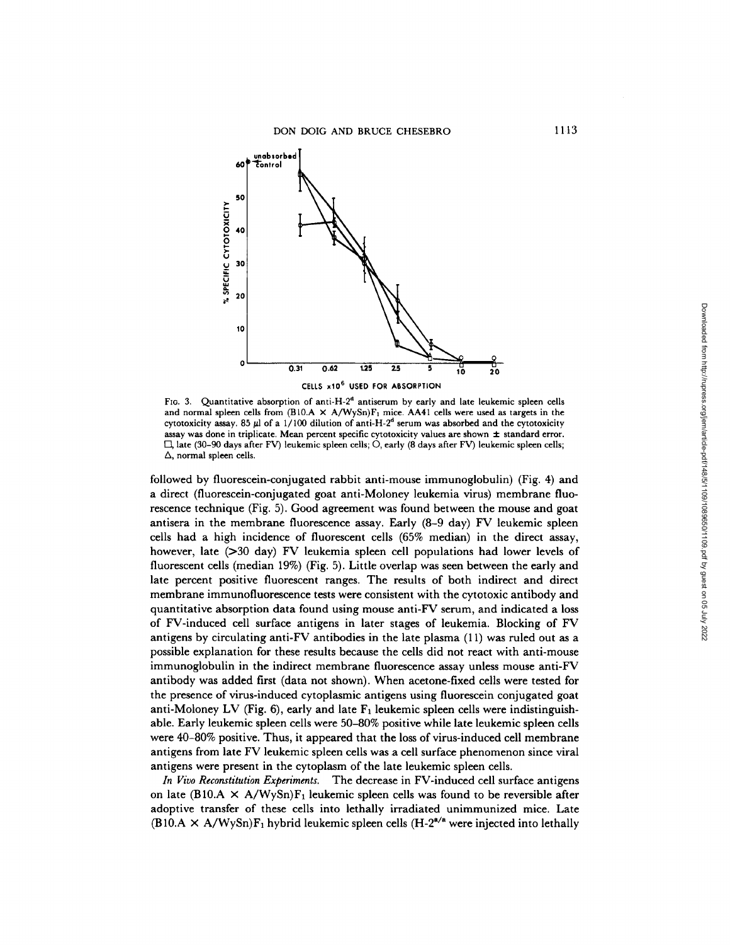

FIG. 3. Quantitative absorption of anti-H-2<sup>d</sup> antiserum by early and late leukemic spleen cells and normal spleen cells from  $(B10.A \times A/WySn)F_1$  mice. AA41 cells were used as targets in the cytotoxicity assay. 85  $\mu$ l of a 1/100 dilution of anti-H-2<sup>d</sup> serum was absorbed and the cytotoxicity assay was done in triplicate. Mean percent specific cytotoxicity values are shown  $\pm$  standard error.  $\Box$ , late (30-90 days after FV) leukemic spleen cells; O, early (8 days after FV) leukemic spleen cells;  $\Delta$ , normal spleen cells.

followed by fluorescein-conjugated rabbit anti-mouse immunoglobulin) (Fig. 4) and a direct (fluorescein-conjugated goat anti-Moloney leukemia virus) membrane fluorescence technique (Fig. 5). Good agreement was found between the mouse and goat antisera in the membrane fluorescence assay. Early (8-9 day) FV leukemic spleen cells had a high incidence of fluorescent cells (65% median) in the direct assay, however, late (>30 day) FV leukemia spleen cell populations had lower levels of fluorescent cells (median 19%) (Fig. 5). Little overlap was seen between the early and late percent positive fluorescent ranges. The results of both indirect and direct membrane immunofluorescence tests were consistent with the cytotoxie antibody and quantitative absorption data found using mouse anti-FV serum, and indicated a loss of FV-induced cell surface antigens in later stages of leukemia. Blocking of FV antigens by circulating anti-FV antibodies in the late plasma (11) was ruled out as a possible explanation for these results because the cells did not react with anti-mouse immunoglobulin in the indirect membrane fluorescence assay unless mouse anti-FV antibody was added frst (data not shown). When acetone-fixed cells were tested for the presence of virus-induced cytoplasmic antigens using fluorescein conjugated goat anti-Moloney LV (Fig. 6), early and late  $F_1$  leukemic spleen cells were indistinguishable. Early leukemic spleen cells were 50-80% positive while late leukemic spleen cells were 40-80% positive. Thus, it appeared that the loss of virus-induced cell membrane antigens from late FV leukemic spleen cells was a cell surface phenomenon since viral antigens were present in the cytoplasm of the late leukemic spleen cells.

*In Vivo Reconstitution Experiments.* The decrease in FV-induced cell surface antigens on late (B10.A  $\times$  A/WySn)F<sub>1</sub> leukemic spleen cells was found to be reversible after adoptive transfer of these cells into lethally irradiated unimmunized mice. Late  $(B10.A \times A/WySn)F_1$  hybrid leukemic spleen cells  $(H-2^{a/a})$  were injected into lethally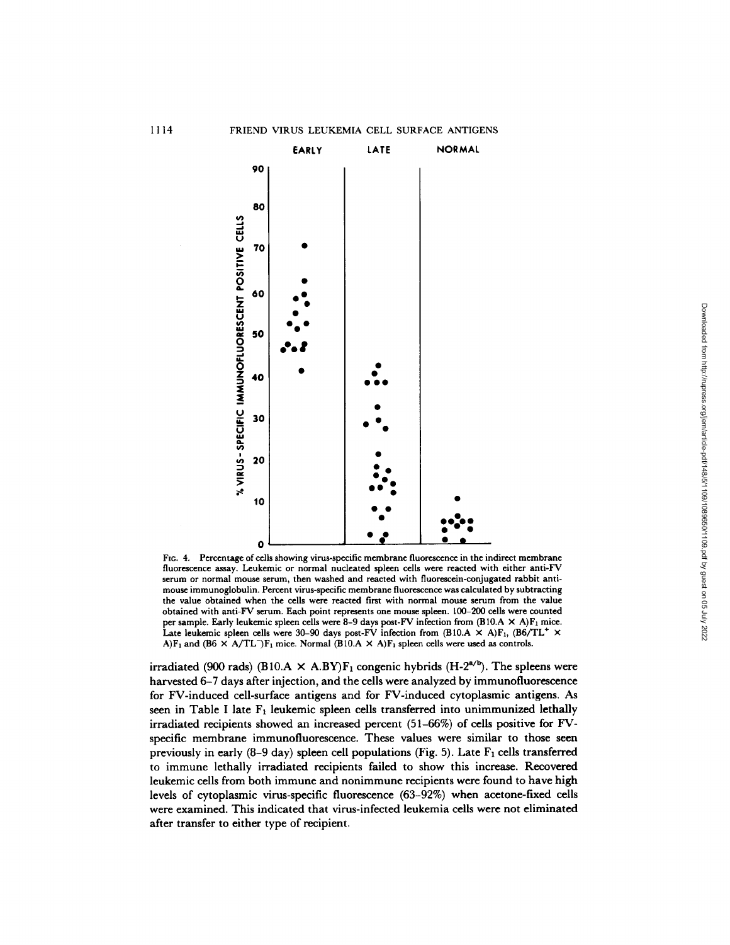

FIG. 4. Percentage of cells showing virus-specific membrane fluorescence in the indirect membrane fluorescence assay. Leukemic or normal nucleated spleen cells were reacted with either anti-FV serum or normal mouse serum, then washed and reacted with fluorescein-conjugated rabbit antimouse immunoglobulin. Percent virus-specific membrane fluorescence was calculated by subtracting the value obtained when the cells were reacted first with normal mouse serum from the value obtained with anti-FV serum. Each point represents one mouse spleen. 100-200 cells were counted per sample. Early leukemic spleen cells were 8-9 days post-FV infection from  $(B10.A \times A)F_1$  mice. Late leukemic spleen cells were 30-90 days post-FV infection from  $(B10.A \times A)F_1$ ,  $(B6/TL^+ \times$ A)F<sub>1</sub> and (B6  $\times$  A/TL<sup>-</sup>)F<sub>1</sub> mice. Normal (B10.A  $\times$  A)F<sub>1</sub> spleen cells were used as controls.

irradiated (900 rads) (B10.A  $\times$  A.BY)  $F_1$  congenic hybrids (H-2<sup>a/b</sup>). The spleens were harvested 6-7 days after injection, and the cells were analyzed by immunofluorescence for FV-induced cell-surface antigens and for FV-induced cytoplasmic antigens. As seen in Table I late  $F_1$  leukemic spleen cells transferred into unimmunized lethally irradiated recipients showed an increased percent (51-66%) of cells positive for FVspecific membrane immunofluorescence. These values were similar to those seen previously in early  $(8-9 \text{ day})$  spleen cell populations (Fig. 5). Late  $F_1$  cells transferred to immune lethally irradiated recipients failed to show this increase. Recovered leukemic cells from both immune and nonimmune recipients were found to have high levels of cytoplasmic virus-specific fluorescence (63-92%) when acetone-fixed cells were examined. This indicated that virus-infected leukemia cells were not eliminated after transfer to either type of recipient.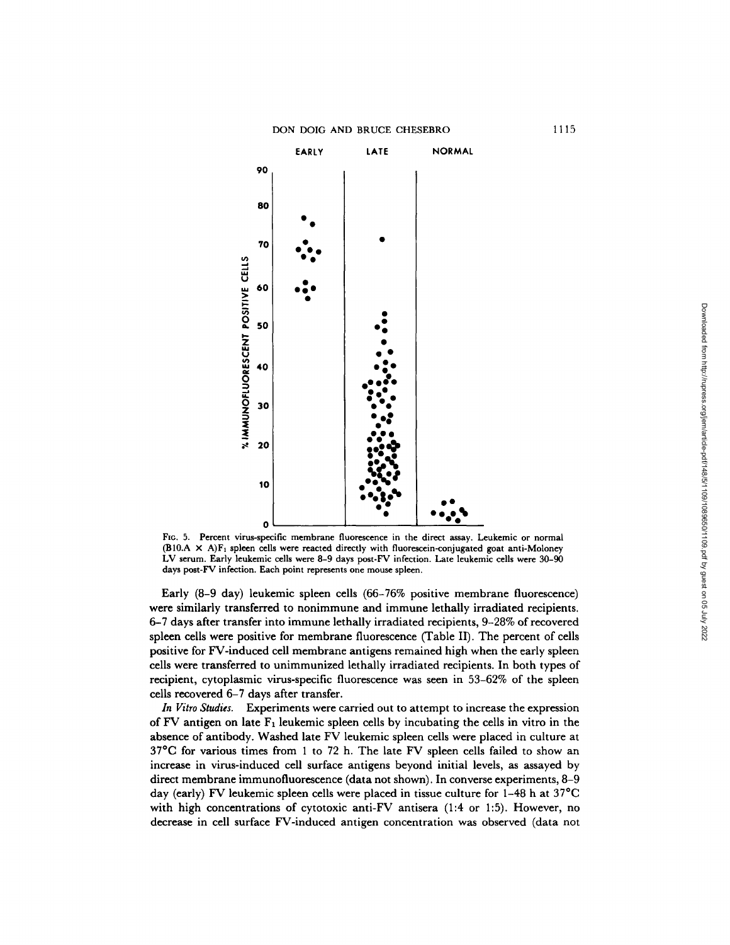

FIG. 5. Percent virus-specific membrane fluorescence in the direct assay. Leukemic or normal  $(B10.A \times A)F_1$  spleen cells were reacted directly with fluorescein-conjugated goat anti-Moloney LV serum. Early leukemic cells were 8-9 days post-FV infection. Late leukemic cells were 30-90 days post-FV infection. Each point represents one mouse spleen.

Early (8-9 day) leukemic spleen cells (66-76% positive membrane fluorescence) were similarly transferred to nonimmune and immune lethally irradiated recipients. 6-7 days after transfer into immune lethally irradiated recipients, 9-28% of recovered spleen cells were positive for membrane fluorescence (Table II). The percent of cells positive for FV-induced cell membrane antigens remained high when the early spleen cells were transferred to unimmunized lethally irradiated recipients. In both types of recipient, cytoplasmic virus-specific fluorescence was seen in 53-62% of the spleen cells recovered 6-7 days after transfer.

*In Vitro Studies.* Experiments were carried out to attempt to increase the expression of FV antigen on late  $F_1$  leukemic spleen cells by incubating the cells in vitro in the absence of antibody. Washed late FV leukemic spleen cells were placed in culture at 37°C for various times from 1 to 72 h. The late FV spleen cells failed to show an increase in virus-induced cell surface antigens beyond initial levels, as assayed by direct membrane immunofluorescence (data not shown). In converse experiments, 8-9 day (early) FV leukemic spleen cells were placed in tissue culture for 1-48 h at 37°C with high concentrations of cytotoxic anti-FV antisera (1:4 or 1:5). However, no decrease in cell surface FV-induced antigen concentration was observed (data not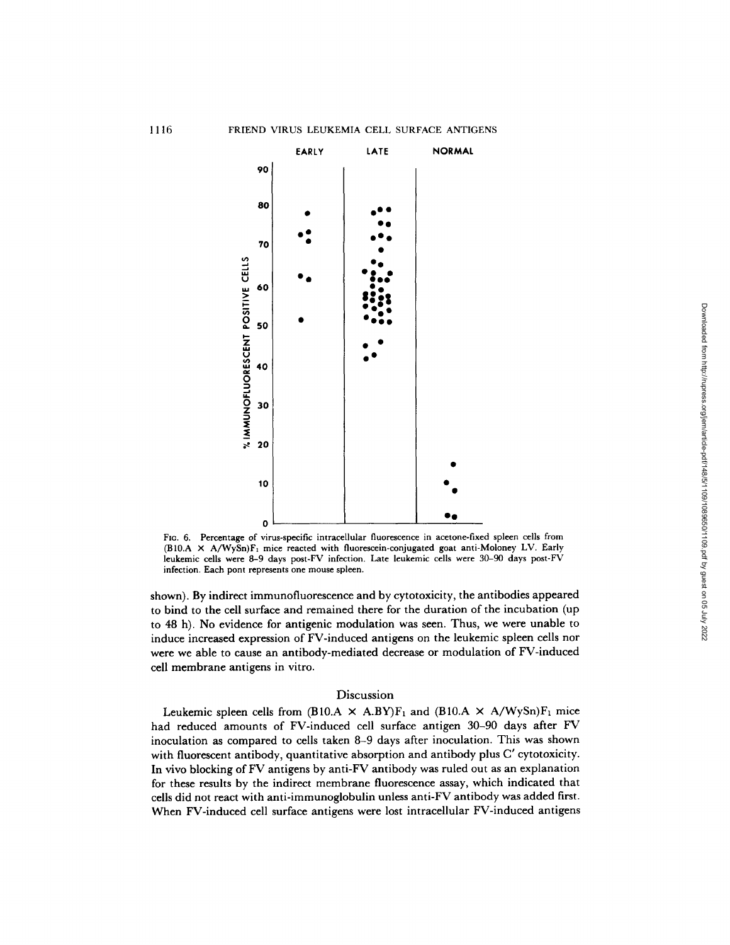

FIG. 6. Percentage of virus-specific intracellular fluorescence in acetone-fixed spleen cells from (B10.A  $\times$  A/WySn)F<sub>1</sub> mice reacted with fluorescein-conjugated goat anti-Moloney LV. Early leukemic cells were 8-9 days post-FV infection. Late leukemic cells were 30-90 days post-FV infection. Each pont represents one mouse spleen.

shown). By indirect immunofluorescence and by cytotoxicity, the antibodies appeared to bind to the cell surface and remained there for the duration of the incubation (up to 48 h). No evidence for antigenic modulation was seen. Thus, we were unable to induce increased expression of FV-induced antigens on the leukemic spleen cells nor were we able to cause an antibody-mediated decrease or modulation of FV-induced cell membrane antigens in vitro.

# Discussion

Leukemic spleen cells from (B10.A  $\times$  A.BY)F<sub>1</sub> and (B10.A  $\times$  A/WySn)F<sub>1</sub> mice had reduced amounts of FV-induced cell surface antigen 30-90 days after FV inoculation as compared to cells taken 8-9 days after inoculation. This was shown with fluorescent antibody, quantitative absorption and antibody plus C' cytotoxicity. In vivo blocking of FV antigens by anti-FV antibody was ruled out as an explanation for these results by the indirect membrane fluorescence assay, which indicated that cells did not react with anti-immunoglobulin unless anti-FV antibody was added first. When FV-induced cell surface antigens were lost intracellular FV-induced antigens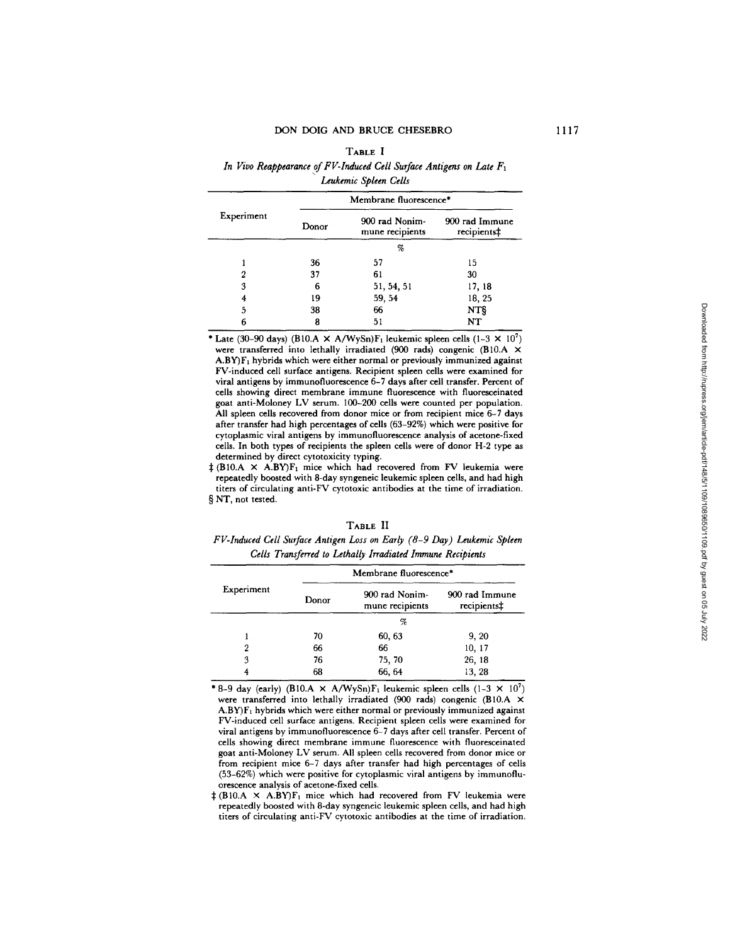## DON DOIG AND BRUCE CHESEBRO

#### TABLE I

# *In Vivo Reappearance of FV-Induced Cell Surface Antigens on Late F1 Leukemic Spleen Cells*

| Experiment | Membrane fluorescence* |                                   |                               |
|------------|------------------------|-----------------------------------|-------------------------------|
|            | Donor                  | 900 rad Nonim-<br>mune recipients | 900 rad Immune<br>recipients‡ |
|            |                        | %                                 |                               |
|            | 36                     | 57                                | 15                            |
|            | 37                     | 61                                | 30                            |
| 3          | 6                      | 51, 54, 51                        | 17, 18                        |
|            | 19                     | 59, 54                            | 18, 25                        |
| 5          | 38                     | 66                                | NT§                           |
| 6          | 8                      | 51                                | NT                            |

\* Late (30-90 days) (B10.A  $\times$  A/WySn)F<sub>1</sub> leukemic spleen cells (1-3  $\times$  10<sup>7</sup>) were transferred into lethally irradiated (900 rads) congenic (B10.A ×  $A.BY)F<sub>1</sub>$  hybrids which were either normal or previously immunized against FV-induced cell surface antigens. Recipient spleen cells were examined for viral antigens by immunofluorescence 6-7 days after cell transfer. Percent of cells showing direct membrane immune fluorescence with fluoreseeinated goat anti-Moloney LV serum. 100-200 cells were counted per population. All spleen cells recovered from donor mice or from recipient mice 6-7 days after transfer had high percentages of cells (63-92%) which were positive for cytoplasmic viral antigens by immunofluorescence analysis of acetone-fixed cells. In both types of recipients the spleen cells were of donor H-2 type as determined by direct eytotoxicity typing.

 $\ddagger$  (B10.A  $\times$  A.BY)F<sub>1</sub> mice which had recovered from FV leukemia were repeatedly boosted with 8-day syngeneic leukemic spleen cells, and had high titers of circulating anti-FV cytotoxic antibodies at the time of irradiation. § NT, not tested.

#### **TABLE** II

*FV-Induced Cell Surface Antigen Loss on Early (8-9 Day) Leukemic Spleen Cells Transferred to Lethally Irradiated Immune Recipients* 

| Experiment | Membrane fluorescence* |                                   |                               |
|------------|------------------------|-----------------------------------|-------------------------------|
|            | Donor                  | 900 rad Nonim-<br>mune recipients | 900 rad Immune<br>recipients‡ |
|            |                        | %                                 |                               |
|            | 70                     | 60, 63                            | 9, 20                         |
| 2          | 66                     | 66                                | 10, 17                        |
| 3          | 76                     | 75, 70                            | 26, 18                        |
|            | 68                     | 66, 64                            | 13, 28                        |

\* 8-9 day (early) (B10.A  $\times$  A/WySn)F<sub>1</sub> leukemic spleen cells (1-3  $\times$  10<sup>7</sup>) were transferred into lethally irradiated (900 rads) congenic (B10.A X A.BY)F1 hybrids which were either normal or previously immunized against FV-induced cell surface antigens. Recipient spleen cells were examined for viral antigens by immunofluorescence 6-7 days after cell transfer. Percent of cells showing direct membrane immune fluorescence with fluoresceinated goat anti-Moloney LV serum. All spleen cells recovered from donor mice or from recipient mice 6-7 days after transfer had high percentages of cells (53-62%) which were positive for cytoplasmic viral antigens by immunofluorescence analysis of acetone-fixed cells.

 $\ddagger$  (B10.A × A.BY)F<sub>1</sub> mice which had recovered from FV leukemia were repeatedly boosted with 8-day syngeneic leukemic spleen cells, and had high titers of circulating anti-FV cytotoxic antibodies at the time of irradiation.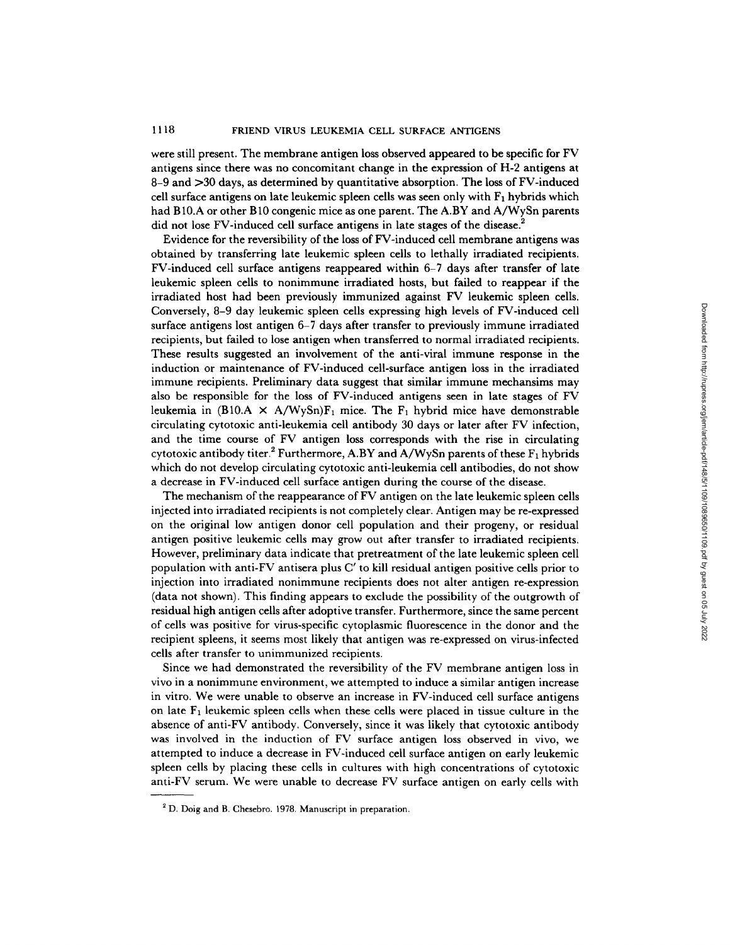# 1118 FRIEND VIRUS LEUKEMIA CELL SURFACE ANTIGENS

were still present. The membrane antigen loss observed appeared to be specific for FV antigens since there was no concomitant change in the expression of H-2 antigens at 8-9 and >30 days, as determined by quantitative absorption. The loss of FV-induced cell surface antigens on late leukemic spleen cells was seen only with  $F_1$  hybrids which had B10.A or other B10 congenic mice as one parent. The A.BY and A/WySn parents did not lose FV-induced cell surface antigens in late stages of the disease.<sup>2</sup>

Evidence for the reversibility of the loss of FV-induced cell membrane antigens was obtained by transferring late leukemic spleen cells to lethally irradiated recipients. FV-induced cell surface antigens reappeared within 6-7 days after transfer of late leukemic spleen cells to nonimmune irradiated hosts, but failed to reappear if the irradiated host had been previously immunized against FV leukemic spleen cells. Conversely, 8-9 day leukemic spleen cells expressing high levels of FV-induced cell surface antigens lost antigen 6-7 days after transfer to previously immune irradiated recipients, but failed to lose antigen when transferred to normal irradiated recipients. These results suggested an involvement of the anti-viral immune response in the induction or maintenance of FV-induced cell-surface antigen loss in the irradiated immune recipients. Preliminary data suggest that similar immune mechansims may also be responsible for the loss of FV-induced antigens seen in late stages of FV leukemia in (B10.A  $\times$  A/WySn)F<sub>1</sub> mice. The F<sub>1</sub> hybrid mice have demonstrable circulating cytotoxic anti-leukemia cell antibody 30 days or later after FV infection, and the time course of FV antigen loss corresponds with the rise in circulating cytotoxic antibody titer.<sup>2</sup> Furthermore, A.BY and A/WySn parents of these  $F_1$  hybrids which do not develop circulating cytotoxic anti-leukemia cell antibodies, do not show a decrease in FV-induced cell surface antigen during the course of the disease.

The mechanism of the reappearance of FV antigen on the late leukemic spleen cells injected into irradiated recipients is not completely clear. Antigen may be re-expressed on the original low antigen donor cell population and their progeny, or residual antigen positive leukemic cells may grow out after transfer to irradiated recipients. However, preliminary data indicate that pretreatment of the late leukemic spleen cell population with anti-FV antisera plus C' to kill residual antigen positive cells prior to injection into irradiated nonimmune recipients does not alter antigen re-expression (data not shown). This finding appears to exclude the possibility of the outgrowth of residual high antigen cells after adoptive transfer. Furthermore, since the same percent of cells was positive for virus-specific cytoplasmic fluorescence in the donor and the recipient spleens, it seems most likely that antigen was re-expressed on virus-infected cells after transfer to unimmunized recipients.

Since we had demonstrated the reversibility of the FV membrane antigen loss in vivo in a nonimmune environment, we attempted to induce a similar antigen increase in vitro. We were unable to observe an increase in FV-induced cell surface antigens on late  $F_1$  leukemic spleen cells when these cells were placed in tissue culture in the absence of anti-FV antibody. Conversely, since it was likely that cytotoxic antibody was involved in the induction of FV surface antigen loss observed in vivo, we attempted to induce a decrease in FV-induced cell surface antigen on early leukemic spleen cells by placing these cells in cultures with high concentrations of cytotoxic anti-FV serum. We were unable to decrease FV surface antigen on early cells with

<sup>&</sup>lt;sup>2</sup> D. Doig and B. Chesebro. 1978. Manuscript in preparation.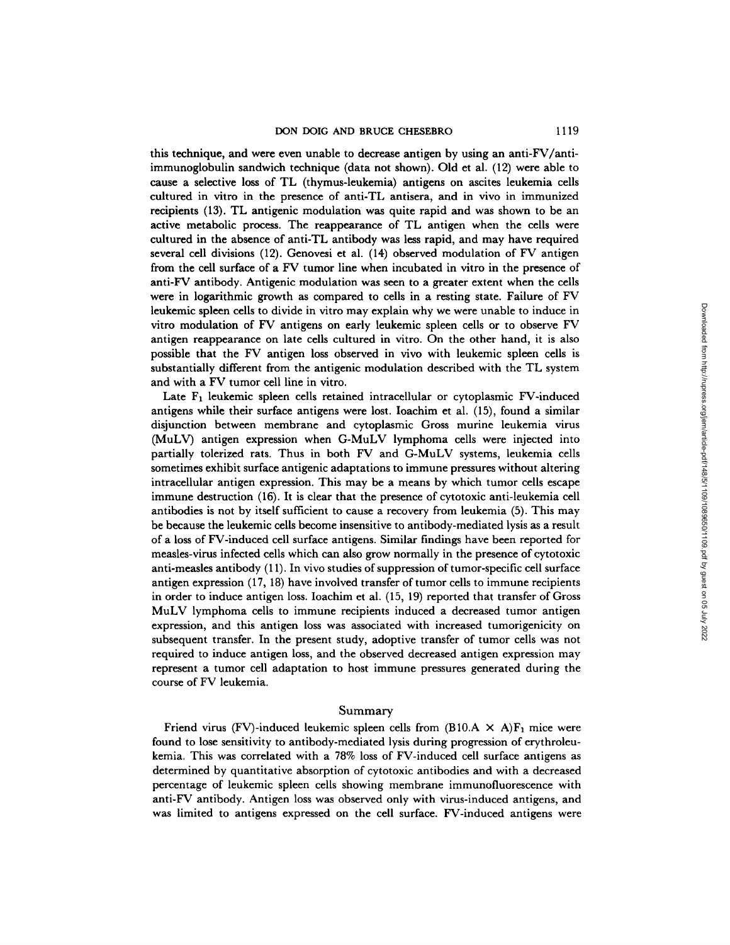this technique, and were even unable to decrease antigen by using an anti-FV/antiimmunoglobulin sandwich technique (data not shown). Old et al. (12) were able to cause a selective loss of TL (thymus-leukemia) antigens on ascites leukemia cells cultured in vitro in the presence of anti-TL antisera, and in vivo in immunized recipients (13). TL antigenic modulation was quite rapid and was shown to be an active metabolic process. The reappearance of TL antigen when the cells were cultured in the absence of anti-TL antibody was less rapid, and may have required several cell divisions (12). Genovesi et al. (14) observed modulation of FV antigen from the cell surface of a FV tumor line when incubated in vitro in the presence of anti-FV antibody. Antigenic modulation was seen to a greater extent when the cells were in logarithmic growth as compared to cells in a resting state. Failure of FV leukemic spleen cells to divide in vitro may explain why we were unable to induce in vitro modulation of FV antigens on early leukemic spleen cells or to observe FV antigen reappearance on late cells cultured in vitro. On the other hand, it is also possible that the FV antigen loss observed in vivo with leukemic spleen cells is substantially different from the antigenic modulation described with the TL system and with a FV tumor cell line in vitro.

Late  $F_1$  leukemic spleen cells retained intracellular or cytoplasmic FV-induced antigens while their surface antigens were lost. Ioachim et al. (15), found a similar disjunction between membrane and cytoplasmic Gross murine leukemia virus (MuLV) antigen expression when G-MuLV lymphoma cells were injected into partially tolerized rats. Thus in both FV and G-MuLV systems, leukemia cells sometimes exhibit surface antigenic adaptations to immune pressures without altering intracellular antigen expression. This may be a means by which tumor cells escape immune destruction (16). It is clear that the presence of cytotoxic anti-leukemia cell antibodies is not by itself sufficient to cause a recovery from leukemia (5). This may be because the leukemic cells become insensitive to antibody-mediated lysis as a result of a loss of FV-induced cell surface antigens. Similar findings have been reported for measles-virus infected cells which can also grow normally in the presence of cytotoxic anti-measles antibody (11). In vivo studies of suppression of tumor-specific cell surface antigen expression (17, 18) have involved transfer of tumor cells to immune recipients in order to induce antigen loss. Ioachim et al. (15, 19) reported that transfer of Gross MuLV lymphoma cells to immune recipients induced a decreased tumor antigen expression, and this antigen loss was associated with increased tumorigenicity on subsequent transfer. In the present study, adoptive transfer of tumor cells was not required to induce antigen loss, and the observed decreased antigen expression may represent a tumor cell adaptation to host immune pressures generated during the course of FV leukemia.

### Summary

Friend virus (FV)-induced leukemic spleen cells from (B10.A  $\times$  A)F<sub>1</sub> mice were found to lose sensitivity to antibody-mediated lysis during progression of erythroleukemia. This was correlated with a 78% loss of FV-induced cell surface antigens as determined by quantitative absorption of cytotoxic antibodies and with a decreased percentage of leukemic spleen cells showing membrane immunofluorescence with anti-FV antibody. Antigen loss was observed only with virus-induced antigens, and was limited to antigens expressed on the cell surface. FV-induced antigens were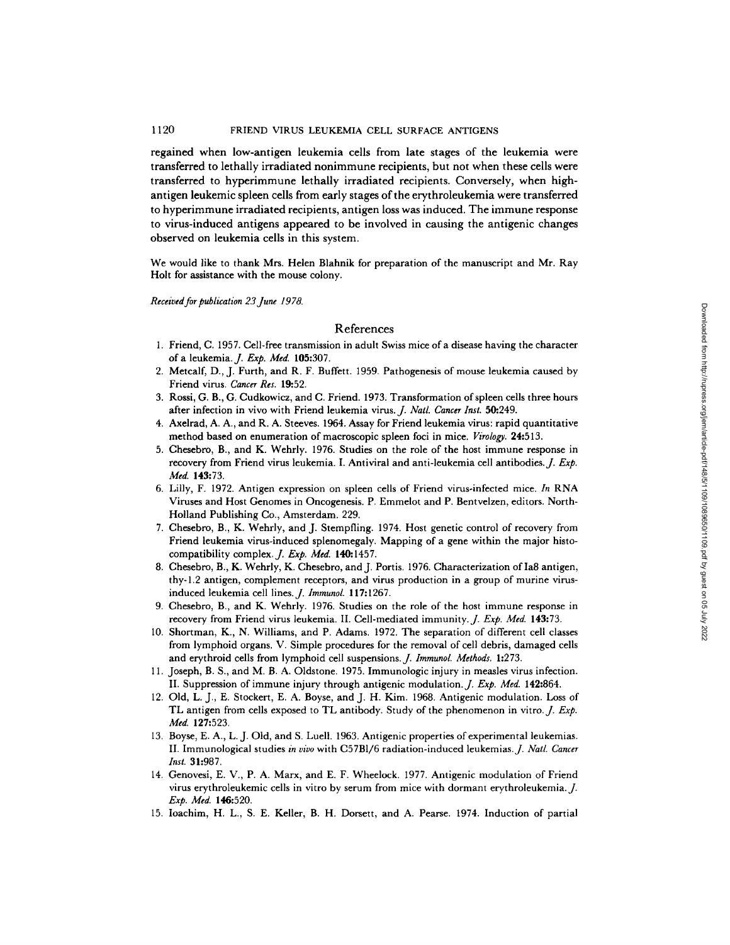# 1120 FRIEND VIRUS LEUKEMIA CELL SURFACE ANTIGENS

regained when low-antigen leukemia cells from late stages of the leukemia were transferred to lethally irradiated nonimmune recipients, but not when these cells were transferred to hyperimmune lethally irradiated recipients. Conversely, when highantigen leukemic spleen cells from early stages of the erythroleukemia were transferred to hyperimmune irradiated recipients, antigen loss was induced. The immune response to virus-induced antigens appeared to be involved in causing the antigenic changes observed on leukemia cells in this system.

We would like to thank Mrs. Helen Blahnik for preparation of the manuscript and Mr. Ray Holt for assistance with the mouse colony.

*Received for publication 23June 1978.* 

# References

- 1. Friend, C. 1957. Cell-free transmission in adult Swiss mice of a disease having the character of a leukemia.J. *Exp. Med.* 105:307.
- 2. Metcalf, D., J. Furth, and R. F. Buffett. 1959. Pathogenesis of mouse leukemia caused by Friend virus. *Cancer Res.* 19:52.
- 3. Rossi, G. B., G. Cudkowiez, and C. Friend. 1973. Transformation of spleen cells three hours after infection in vivo with Friend leukemia virus. *J. Natl. Cancer Inst.* 50:249.
- 4. Axelrad, A. A., and R. A. Steeves. 1964. Assay for Friend leukemia virus: rapid quantitative method based on enumeration of macroscopic spleen foci in mice. *Virology.* 24:513.
- 5. Chesebro, B., and K. Wehrly. 1976. Studies on the role of the host immune response in recovery from Friend virus leukemia. I. Antiviral and anti-leukemia cell antibodies. *J. Exp. Med.* 143:73.
- 6. Lilly, F. 1972. Antigen expression on spleen cells of Friend virus-infected mice. *In* RNA Viruses and Host Genomes in Oncogenesis. P. Emmelot and P. Bentvelzen, editors. North-Holland Publishing Co., Amsterdam. 229.
- 7. Chesebro, B., K. Wehrly, and J. Stempfling. 1974. Host genetic control of recovery from Friend leukemia virus-induced splenomegaly. Mapping of a gene within the major histocompatibility complex. *J. Exp. Med.* 140:1457.
- 8. Chesebro, B., K. Wehrly, K. Chesebro, and J. Portis. 1976. Characterization of Ia8 antigen, thy-1.2 antigen, complement receptors, and virus production in a group of murine virusinduced leukemia cell lines. *J. Immunol.* 117:1267.
- 9. Chesebro, B., and K. Wehrly. 1976. Studies on the role of the host immune response in recovery from Friend virus leukemia. II. Cell-mediated immunity.J. *Exp. Med.* 143:73.
- 10. Shortman, K., N. Williams, and P. Adams. 1972. The separation of different cell classes from lymphoid organs. V. Simple procedures for the removal of cell debris, damaged cells and erythroid cells from lymphoid cell suspensions. *J. Immunol. Methods.* 1:273.
- 11. Joseph, B. S., and M. B. A. Oldstone. 1975. Immunologic injury in measles virus infection. II. Suppression of immune injury through antigenic modulation.J. *Exp. Med.* 142:864.
- 12. Old, L. J., E. Stockert, E. A. Boyse, and J. H. Kim. 1968. Antigenic modulation. Loss of TL antigen from cells exposed to TL antibody. Study of the phenomenon in vitro. *J. Exp. Med.* 127:523.
- 13. Boyse, E. A., L. J. Old, and S. Luell. 1963. Antigenic properties of experimental leukemias. II. Immunological studies in *vivo* with C57B1/6 radiation-induced leukemias.J. *Natl. Cancer Inst.* 31:987.
- 14. Genovesi, E. V., P. A. Marx, and E. F. Wheelock. 1977. Antigenic modulation of Friend virus erythroleukemic cells in vitro by serum from mice with dormant erythroleukemia. J. *Exp. Med.* 146:520.
- 15. Ioachim, H. L., S. E. Keller, B. H. Dorsett, and A. Pearse. 1974. Induction of partial